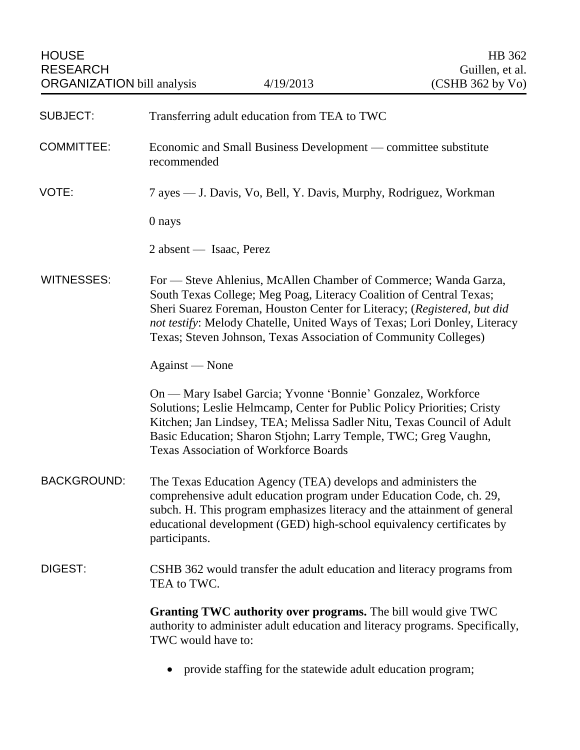| <b>SUBJECT:</b>    | Transferring adult education from TEA to TWC                                                                                                                                                                                                                                                                                                                      |
|--------------------|-------------------------------------------------------------------------------------------------------------------------------------------------------------------------------------------------------------------------------------------------------------------------------------------------------------------------------------------------------------------|
| <b>COMMITTEE:</b>  | Economic and Small Business Development — committee substitute<br>recommended                                                                                                                                                                                                                                                                                     |
| VOTE:              | 7 ayes — J. Davis, Vo, Bell, Y. Davis, Murphy, Rodriguez, Workman                                                                                                                                                                                                                                                                                                 |
|                    | 0 nays                                                                                                                                                                                                                                                                                                                                                            |
|                    | 2 absent — Isaac, Perez                                                                                                                                                                                                                                                                                                                                           |
| <b>WITNESSES:</b>  | For — Steve Ahlenius, McAllen Chamber of Commerce; Wanda Garza,<br>South Texas College; Meg Poag, Literacy Coalition of Central Texas;<br>Sheri Suarez Foreman, Houston Center for Literacy; (Registered, but did<br>not testify: Melody Chatelle, United Ways of Texas; Lori Donley, Literacy<br>Texas; Steven Johnson, Texas Association of Community Colleges) |
|                    | Against — None                                                                                                                                                                                                                                                                                                                                                    |
|                    | On — Mary Isabel Garcia; Yvonne 'Bonnie' Gonzalez, Workforce<br>Solutions; Leslie Helmcamp, Center for Public Policy Priorities; Cristy<br>Kitchen; Jan Lindsey, TEA; Melissa Sadler Nitu, Texas Council of Adult<br>Basic Education; Sharon Stjohn; Larry Temple, TWC; Greg Vaughn,<br><b>Texas Association of Workforce Boards</b>                              |
| <b>BACKGROUND:</b> | The Texas Education Agency (TEA) develops and administers the<br>comprehensive adult education program under Education Code, ch. 29,<br>subch. H. This program emphasizes literacy and the attainment of general<br>educational development (GED) high-school equivalency certificates by<br>participants.                                                        |
| DIGEST:            | CSHB 362 would transfer the adult education and literacy programs from<br>TEA to TWC.                                                                                                                                                                                                                                                                             |
|                    | Granting TWC authority over programs. The bill would give TWC<br>authority to administer adult education and literacy programs. Specifically,<br>TWC would have to:                                                                                                                                                                                               |
|                    | provide staffing for the statewide adult education program;                                                                                                                                                                                                                                                                                                       |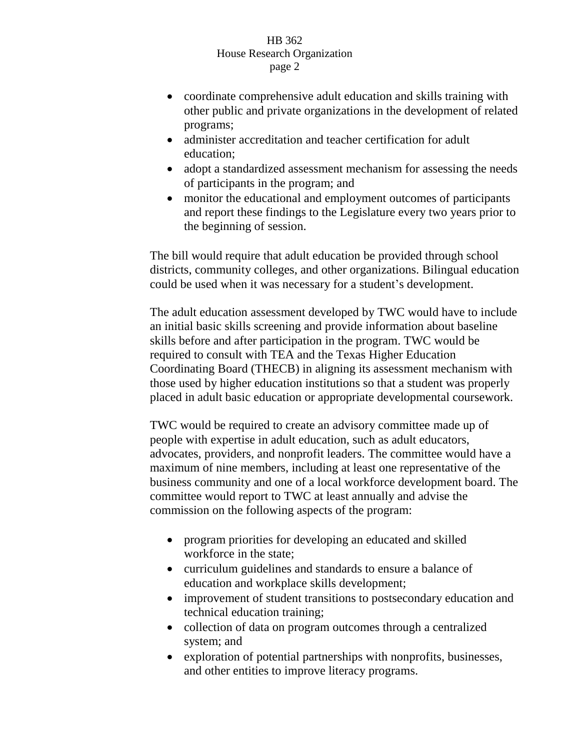- coordinate comprehensive adult education and skills training with other public and private organizations in the development of related programs;
- administer accreditation and teacher certification for adult education;
- adopt a standardized assessment mechanism for assessing the needs of participants in the program; and
- monitor the educational and employment outcomes of participants and report these findings to the Legislature every two years prior to the beginning of session.

The bill would require that adult education be provided through school districts, community colleges, and other organizations. Bilingual education could be used when it was necessary for a student's development.

The adult education assessment developed by TWC would have to include an initial basic skills screening and provide information about baseline skills before and after participation in the program. TWC would be required to consult with TEA and the Texas Higher Education Coordinating Board (THECB) in aligning its assessment mechanism with those used by higher education institutions so that a student was properly placed in adult basic education or appropriate developmental coursework.

TWC would be required to create an advisory committee made up of people with expertise in adult education, such as adult educators, advocates, providers, and nonprofit leaders. The committee would have a maximum of nine members, including at least one representative of the business community and one of a local workforce development board. The committee would report to TWC at least annually and advise the commission on the following aspects of the program:

- program priorities for developing an educated and skilled workforce in the state;
- curriculum guidelines and standards to ensure a balance of education and workplace skills development;
- improvement of student transitions to postsecondary education and technical education training;
- collection of data on program outcomes through a centralized system; and
- exploration of potential partnerships with nonprofits, businesses, and other entities to improve literacy programs.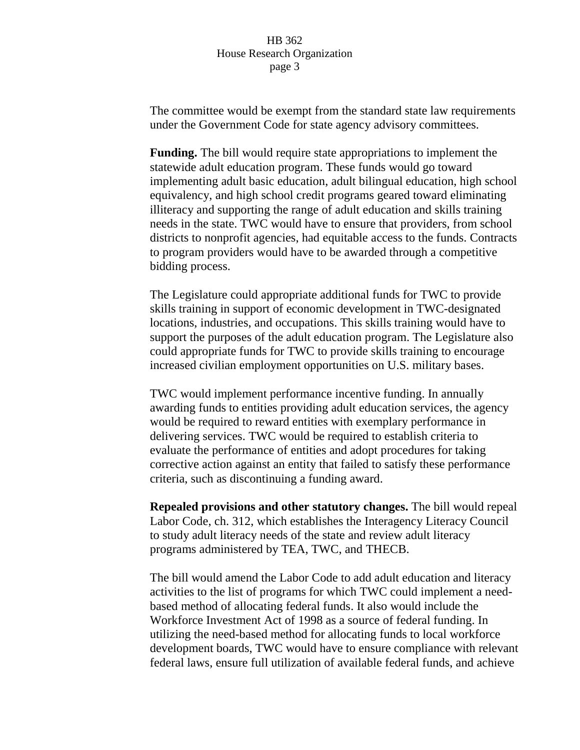The committee would be exempt from the standard state law requirements under the Government Code for state agency advisory committees.

**Funding.** The bill would require state appropriations to implement the statewide adult education program. These funds would go toward implementing adult basic education, adult bilingual education, high school equivalency, and high school credit programs geared toward eliminating illiteracy and supporting the range of adult education and skills training needs in the state. TWC would have to ensure that providers, from school districts to nonprofit agencies, had equitable access to the funds. Contracts to program providers would have to be awarded through a competitive bidding process.

The Legislature could appropriate additional funds for TWC to provide skills training in support of economic development in TWC-designated locations, industries, and occupations. This skills training would have to support the purposes of the adult education program. The Legislature also could appropriate funds for TWC to provide skills training to encourage increased civilian employment opportunities on U.S. military bases.

TWC would implement performance incentive funding. In annually awarding funds to entities providing adult education services, the agency would be required to reward entities with exemplary performance in delivering services. TWC would be required to establish criteria to evaluate the performance of entities and adopt procedures for taking corrective action against an entity that failed to satisfy these performance criteria, such as discontinuing a funding award.

**Repealed provisions and other statutory changes.** The bill would repeal Labor Code, ch. 312, which establishes the Interagency Literacy Council to study adult literacy needs of the state and review adult literacy programs administered by TEA, TWC, and THECB.

The bill would amend the Labor Code to add adult education and literacy activities to the list of programs for which TWC could implement a needbased method of allocating federal funds. It also would include the Workforce Investment Act of 1998 as a source of federal funding. In utilizing the need-based method for allocating funds to local workforce development boards, TWC would have to ensure compliance with relevant federal laws, ensure full utilization of available federal funds, and achieve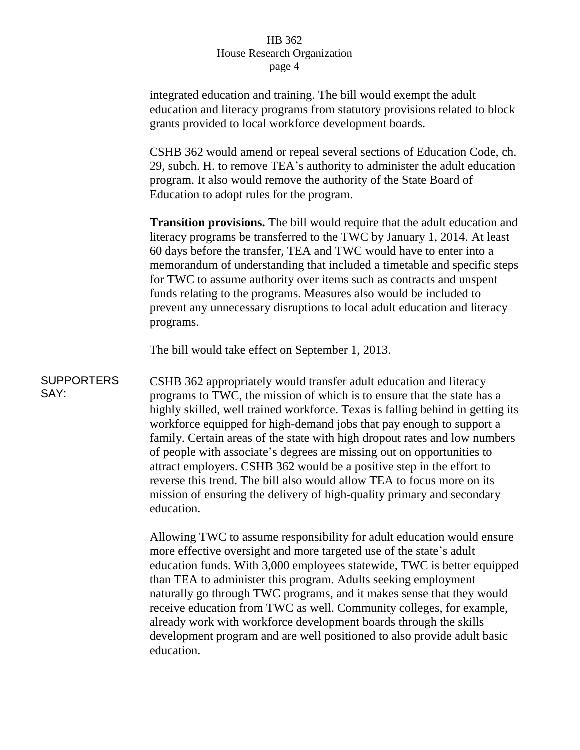integrated education and training. The bill would exempt the adult education and literacy programs from statutory provisions related to block grants provided to local workforce development boards.

CSHB 362 would amend or repeal several sections of Education Code, ch. 29, subch. H. to remove TEA's authority to administer the adult education program. It also would remove the authority of the State Board of Education to adopt rules for the program.

**Transition provisions.** The bill would require that the adult education and literacy programs be transferred to the TWC by January 1, 2014. At least 60 days before the transfer, TEA and TWC would have to enter into a memorandum of understanding that included a timetable and specific steps for TWC to assume authority over items such as contracts and unspent funds relating to the programs. Measures also would be included to prevent any unnecessary disruptions to local adult education and literacy programs.

The bill would take effect on September 1, 2013.

**SUPPORTERS** SAY: CSHB 362 appropriately would transfer adult education and literacy programs to TWC, the mission of which is to ensure that the state has a highly skilled, well trained workforce. Texas is falling behind in getting its workforce equipped for high-demand jobs that pay enough to support a family. Certain areas of the state with high dropout rates and low numbers of people with associate's degrees are missing out on opportunities to attract employers. CSHB 362 would be a positive step in the effort to reverse this trend. The bill also would allow TEA to focus more on its mission of ensuring the delivery of high-quality primary and secondary education.

> Allowing TWC to assume responsibility for adult education would ensure more effective oversight and more targeted use of the state's adult education funds. With 3,000 employees statewide, TWC is better equipped than TEA to administer this program. Adults seeking employment naturally go through TWC programs, and it makes sense that they would receive education from TWC as well. Community colleges, for example, already work with workforce development boards through the skills development program and are well positioned to also provide adult basic education.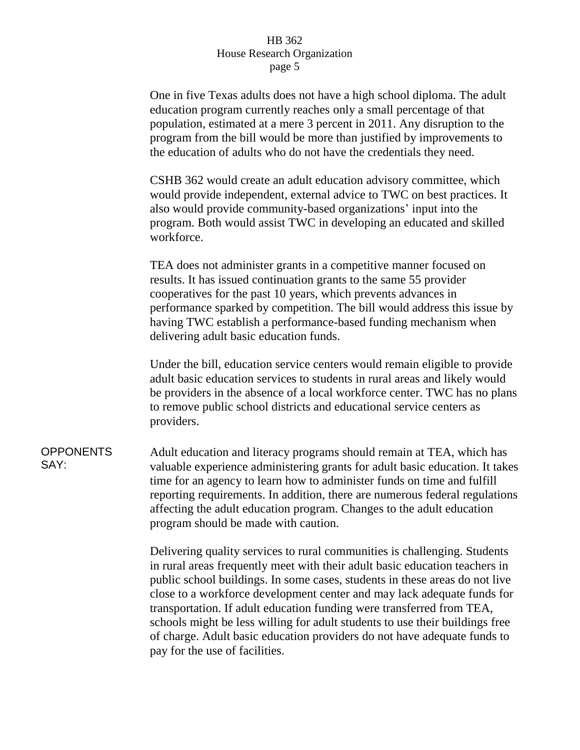One in five Texas adults does not have a high school diploma. The adult education program currently reaches only a small percentage of that population, estimated at a mere 3 percent in 2011. Any disruption to the program from the bill would be more than justified by improvements to the education of adults who do not have the credentials they need.

CSHB 362 would create an adult education advisory committee, which would provide independent, external advice to TWC on best practices. It also would provide community-based organizations' input into the program. Both would assist TWC in developing an educated and skilled workforce.

TEA does not administer grants in a competitive manner focused on results. It has issued continuation grants to the same 55 provider cooperatives for the past 10 years, which prevents advances in performance sparked by competition. The bill would address this issue by having TWC establish a performance-based funding mechanism when delivering adult basic education funds.

Under the bill, education service centers would remain eligible to provide adult basic education services to students in rural areas and likely would be providers in the absence of a local workforce center. TWC has no plans to remove public school districts and educational service centers as providers.

**OPPONENTS** SAY: Adult education and literacy programs should remain at TEA, which has valuable experience administering grants for adult basic education. It takes time for an agency to learn how to administer funds on time and fulfill reporting requirements. In addition, there are numerous federal regulations affecting the adult education program. Changes to the adult education program should be made with caution.

> Delivering quality services to rural communities is challenging. Students in rural areas frequently meet with their adult basic education teachers in public school buildings. In some cases, students in these areas do not live close to a workforce development center and may lack adequate funds for transportation. If adult education funding were transferred from TEA, schools might be less willing for adult students to use their buildings free of charge. Adult basic education providers do not have adequate funds to pay for the use of facilities.